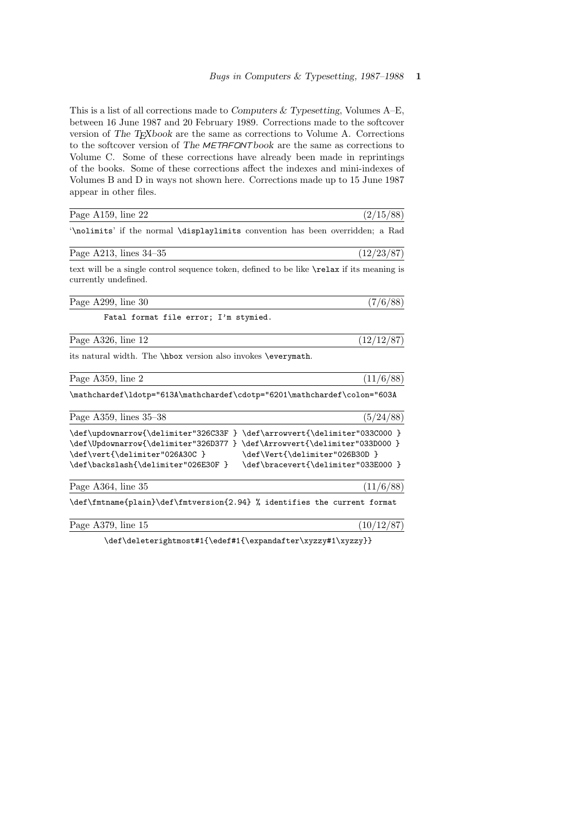This is a list of all corrections made to Computers & Typesetting, Volumes A–E, between 16 June 1987 and 20 February 1989. Corrections made to the softcover version of The T<sub>E</sub>Xbook are the same as corrections to Volume A. Corrections to the softcover version of The  $METAFONTbook$  are the same as corrections to Volume C. Some of these corrections have already been made in reprintings of the books. Some of these corrections affect the indexes and mini-indexes of Volumes B and D in ways not shown here. Corrections made up to 15 June 1987 appear in other files.

| Page A159, line 22                                                                                                                                                                                                              | (2/15/88)                                                             |
|---------------------------------------------------------------------------------------------------------------------------------------------------------------------------------------------------------------------------------|-----------------------------------------------------------------------|
| '\nolimits' if the normal \displaylimits convention has been overridden; a Rad                                                                                                                                                  |                                                                       |
| Page A213, lines $34-35$                                                                                                                                                                                                        | (12/23/87)                                                            |
| text will be a single control sequence token, defined to be like <b>\relax</b> if its meaning is<br>currently undefined.                                                                                                        |                                                                       |
| Page A299, line 30                                                                                                                                                                                                              | (7/6/88)                                                              |
| Fatal format file error; I'm stymied.                                                                                                                                                                                           |                                                                       |
| Page A326, line 12                                                                                                                                                                                                              | (12/12/87)                                                            |
| its natural width. The \hbox version also invokes \everymath.                                                                                                                                                                   |                                                                       |
| Page A359, line 2                                                                                                                                                                                                               | (11/6/88)                                                             |
| \mathchardef\ldotp="613A\mathchardef\cdotp="6201\mathchardef\colon="603A                                                                                                                                                        |                                                                       |
| Page A359, lines 35-38                                                                                                                                                                                                          | (5/24/88)                                                             |
| \def\updownarrow{\delimiter"326C33F } \def\arrowvert{\delimiter"033C000 }<br>\def\Updownarrow{\delimiter"326D377 } \def\Arrowvert{\delimiter"033D000 }<br>\def\vert{\delimiter"026A30C }<br>\def\backslash{\delimiter"026E30F } | \def\Vert{\delimiter"026B30D }<br>\def\bracevert{\delimiter"033E000 } |
| Page A364, line 35                                                                                                                                                                                                              | (11/6/88)                                                             |
| \def\fmtname{plain}\def\fmtversion{2.94} % identifies the current format                                                                                                                                                        |                                                                       |
| Page A379, line 15                                                                                                                                                                                                              | (10/12/87)                                                            |

\def\deleterightmost#1{\edef#1{\expandafter\xyzzy#1\xyzzy}}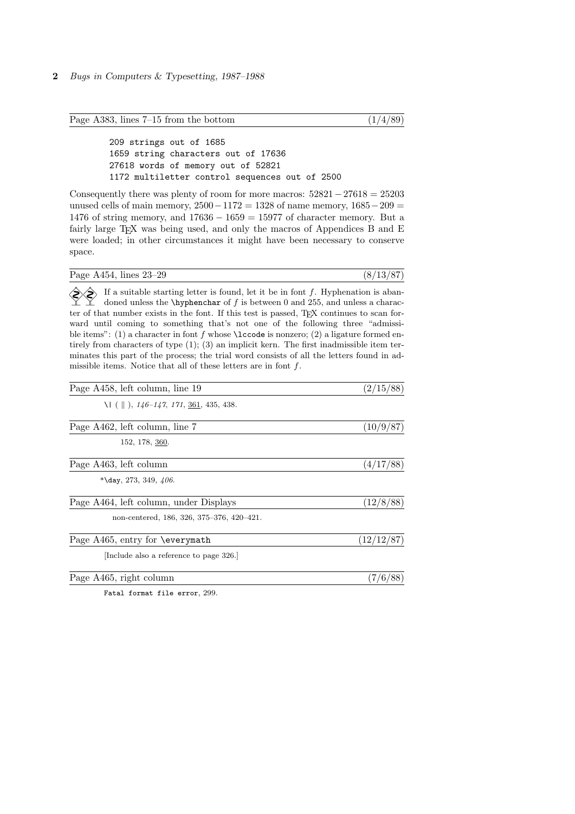Page A383, lines  $7-15$  from the bottom  $(1/4/89)$ 

209 strings out of 1685 1659 string characters out of 17636 27618 words of memory out of 52821 1172 multiletter control sequences out of 2500

Consequently there was plenty of room for more macros:  $52821 - 27618 = 25203$ unused cells of main memory,  $2500 - 1172 = 1328$  of name memory,  $1685 - 209 =$ 1476 of string memory, and 17636 − 1659 = 15977 of character memory. But a fairly large  $T_F X$  was being used, and only the macros of Appendices B and E were loaded; in other circumstances it might have been necessary to conserve space.

| Page A454, lines 23–29 |  | (8/13/87) |  |
|------------------------|--|-----------|--|
|                        |  |           |  |

 $\Diamond$  If a suitable starting letter is found, let it be in font f. Hyphenation is abandoned unless the \hyphenchar of  $f$  is between 0 and 255, and unless a character of that number exists in the font. If this test is passed, T<sub>E</sub>X continues to scan forward until coming to something that's not one of the following three "admissible items": (1) a character in font f whose **\lccode** is nonzero; (2) a ligature formed entirely from characters of type (1); (3) an implicit kern. The first inadmissible item terminates this part of the process; the trial word consists of all the letters found in admissible items. Notice that all of these letters are in font f.

| (2/15/88)  |
|------------|
|            |
| (10/9/87)  |
|            |
| (4/17/88)  |
|            |
| (12/8/88)  |
|            |
| (12/12/87) |
|            |
| (7/6/88)   |
|            |

Fatal format file error, 299.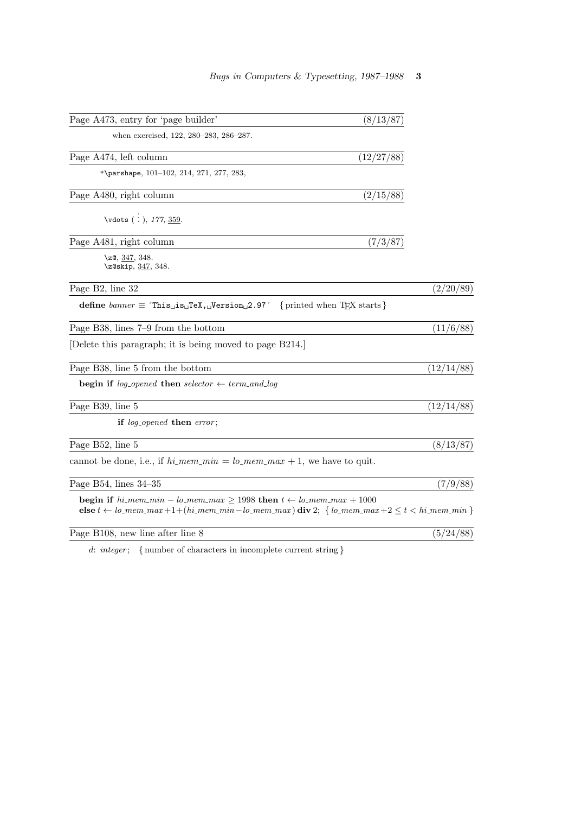| Page A473, entry for 'page builder'                                                                                                                                                                                                             | (8/13/87)                     |
|-------------------------------------------------------------------------------------------------------------------------------------------------------------------------------------------------------------------------------------------------|-------------------------------|
| when exercised, 122, 280-283, 286-287.                                                                                                                                                                                                          |                               |
| Page A474, left column                                                                                                                                                                                                                          | (12/27/88)                    |
| *\parshape, $101-102$ , $214$ , $271$ , $277$ , $283$ ,                                                                                                                                                                                         |                               |
| Page A480, right column                                                                                                                                                                                                                         | (2/15/88)                     |
| \vdots (:), 177, 359.                                                                                                                                                                                                                           |                               |
| Page A481, right column                                                                                                                                                                                                                         | (7/3/87)                      |
| \z@, $347, 348$ .<br>\z@skip, 347, 348.                                                                                                                                                                                                         |                               |
| Page B2, line 32                                                                                                                                                                                                                                | (2/20/89)                     |
| define $banner \equiv$ This <sub>L</sub> is <sub>L</sub> TeX, <i>Nersion</i> <sub>L</sub> 2.97 <sup>-</sup>                                                                                                                                     | { printed when $TEX$ starts } |
| Page B38, lines 7–9 from the bottom                                                                                                                                                                                                             | (11/6/88)                     |
| Delete this paragraph; it is being moved to page B214.                                                                                                                                                                                          |                               |
| Page B38, line 5 from the bottom                                                                                                                                                                                                                | (12/14/88)                    |
| <b>begin if</b> log <sub>-opened</sub> then selector $\leftarrow$ term_and_log                                                                                                                                                                  |                               |
| Page B39, line 5                                                                                                                                                                                                                                | (12/14/88)                    |
| if log <sub>-opened</sub> then error;                                                                                                                                                                                                           |                               |
| Page B52, line 5                                                                                                                                                                                                                                | (8/13/87)                     |
| cannot be done, i.e., if $hi\_mem\_min = lo\_mem\_max + 1$ , we have to quit.                                                                                                                                                                   |                               |
| Page B54, lines $34-35$                                                                                                                                                                                                                         | (7/9/88)                      |
| <b>begin if</b> $hi$ <i>mem_min</i> - $lo$ <i>_mem_max</i> $\geq$ 1998 <b>then</b> $t \leftarrow lo$ <i>_mem_max</i> + 1000<br>else $t \leftarrow lo\_mem\_max+1+(hi\_mem\_min-lo\_mem\_max)$ div 2; { $lo\_mem\_max+2 \leq t < hi\_mem\_min$ } |                               |
| Page B108, new line after line 8                                                                                                                                                                                                                | (5/24/88)                     |
| $d$ integer. I number of characters in incomplete current string $\ell$                                                                                                                                                                         |                               |

 $integer;\quad \{ \hbox{ number of characters in incomplete current string} \}$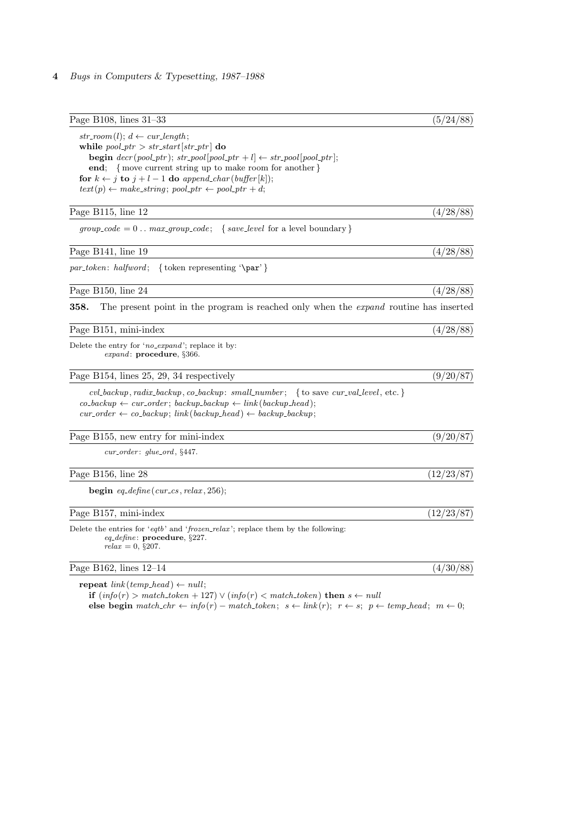| Page B108, lines $31-33$                                                                                                                                  | (5/24/88)  |
|-----------------------------------------------------------------------------------------------------------------------------------------------------------|------------|
| $str_{\mathit{1}}\left( l\right); d \leftarrow \text{curl}\text{length};$                                                                                 |            |
| while $pool\_ptr > str\_start[str\_ptr]$ do                                                                                                               |            |
| <b>begin</b> $decr(pool\_ptr)$ ; $str\_pool[pool\_ptr + l] \leftarrow str\_pool[pool\_ptr]$ ;<br>end; { move current string up to make room for another } |            |
| for $k \leftarrow j$ to $j + l - 1$ do append_char(buffer[k]);                                                                                            |            |
| $text(p) \leftarrow make\_string; pool\_ptr \leftarrow pool\_ptr + d;$                                                                                    |            |
| Page B115, line 12                                                                                                                                        | (4/28/88)  |
| $group\_code = 0 \dots max\_group\_code;$ { $save\_level$ for a level boundary }                                                                          |            |
| Page B141, line 19                                                                                                                                        | (4/28/88)  |
| { token representing $\gamma$ }                                                                                                                           |            |
| Page B150, line 24                                                                                                                                        | (4/28/88)  |
| The present point in the program is reached only when the <i>expand</i> routine has inserted<br>358.                                                      |            |
| Page B151, mini-index                                                                                                                                     | (4/28/88)  |
| Delete the entry for 'no_expand'; replace it by:<br><i>expand</i> : $procedure, \S 366.$                                                                  |            |
| Page B154, lines 25, 29, 34 respectively                                                                                                                  | (9/20/87)  |
| cvl_backup, radix_backup, co_backup: small_number; { to save cur_val_level, etc. }                                                                        |            |
| $co_b \& cov = cor \& cov = cor \& cov = backup = backup \rightarrow (backup\_head);$                                                                     |            |
| $cur\_{order} \leftarrow co\_{backup};\ link(\text{backward}) \leftarrow \text{backward};$                                                                |            |
| Page B155, new entry for mini-index                                                                                                                       | (9/20/87)  |
| $cur\_{order:}$ qlue_ord, $§447.$                                                                                                                         |            |
| Page B156, line 28                                                                                                                                        | (12/23/87) |
| begin $eq$ -define(cur_cs, relax, 256);                                                                                                                   |            |
| Page B157, mini-index                                                                                                                                     | (12/23/87) |
| Delete the entries for 'eqtb' and 'frozen_relax'; replace them by the following:<br><i>eq_define</i> : procedure, $\S 227$ .<br>$relax = 0, \S 207.$      |            |
| Page B162, lines 12-14                                                                                                                                    | (4/30/88)  |
| $\mathbf{a}$                                                                                                                                              |            |

repeat  $link(temp\_head) \leftarrow null;$ 

if  $(info(r) > match\_token + 127) \vee (info(r) < match\_token)$  then  $s \leftarrow null$ else begin  $match\_chr \leftarrow info(r) - match\_token; s \leftarrow link(r); r \leftarrow s; p \leftarrow temp\_head; m \leftarrow 0;$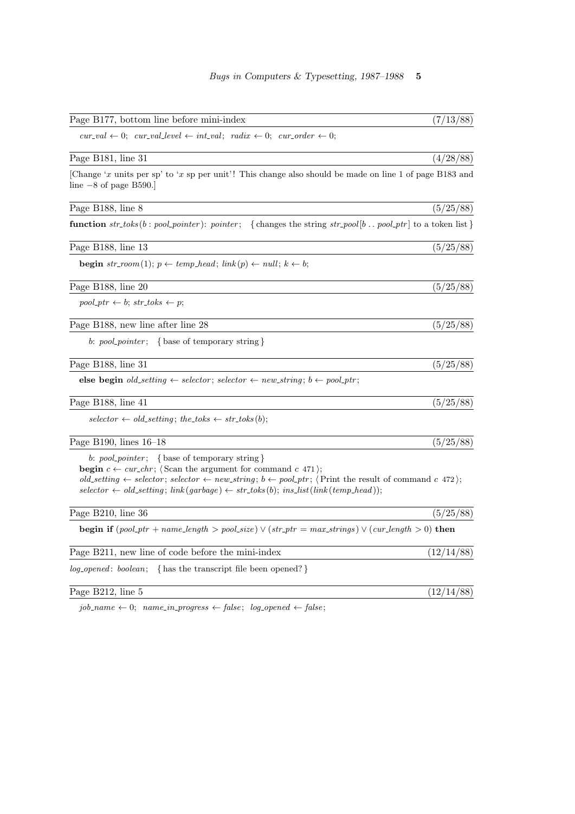| Page B177, bottom line before mini-index                                                                                                                                                                                                                                                                                                                                                                                                                      | (7/13/88)  |
|---------------------------------------------------------------------------------------------------------------------------------------------------------------------------------------------------------------------------------------------------------------------------------------------------------------------------------------------------------------------------------------------------------------------------------------------------------------|------------|
| $cur\_val \leftarrow 0; \ cur\_val\_level \leftarrow int\_val; \; \; radix \leftarrow 0; \; \; cur\_order \leftarrow 0;$                                                                                                                                                                                                                                                                                                                                      |            |
| Page B181, line 31                                                                                                                                                                                                                                                                                                                                                                                                                                            | (4/28/88)  |
| [Change 'x units per sp' to 'x sp per unit'! This change also should be made on line 1 of page B183 and<br>line $-8$ of page B590.                                                                                                                                                                                                                                                                                                                            |            |
| Page B188, line 8                                                                                                                                                                                                                                                                                                                                                                                                                                             | (5/25/88)  |
| function $str\_toks(b : pool\_ pointer)$ : pointer; {changes the string $str\_pool[b : pool\_ptr]$ to a token list}                                                                                                                                                                                                                                                                                                                                           |            |
| Page B188, line 13                                                                                                                                                                                                                                                                                                                                                                                                                                            | (5/25/88)  |
| <b>begin</b> str_room(1); $p \leftarrow temp\_head$ ; $link(p) \leftarrow null$ ; $k \leftarrow b$ ;                                                                                                                                                                                                                                                                                                                                                          |            |
| Page B188, line 20                                                                                                                                                                                                                                                                                                                                                                                                                                            | (5/25/88)  |
| $pool\_ptr \leftarrow b; str\_toks \leftarrow p;$                                                                                                                                                                                                                                                                                                                                                                                                             |            |
| Page B188, new line after line 28                                                                                                                                                                                                                                                                                                                                                                                                                             | (5/25/88)  |
| b: $pool\_pointer$ ; {base of temporary string}                                                                                                                                                                                                                                                                                                                                                                                                               |            |
| Page B188, line 31                                                                                                                                                                                                                                                                                                                                                                                                                                            | (5/25/88)  |
| else begin <i>old_setting</i> $\leftarrow$ <i>selector</i> ; <i>selector</i> $\leftarrow$ <i>new_string</i> ; <i>b</i> $\leftarrow$ <i>pool_ptr</i> ;                                                                                                                                                                                                                                                                                                         |            |
| Page B188, line 41                                                                                                                                                                                                                                                                                                                                                                                                                                            | (5/25/88)  |
| $\textit{selector} \leftarrow \textit{old}\_\textit{setting}; \textit{the}\_\textit{obs} \leftarrow \textit{str}\_\textit{b};$                                                                                                                                                                                                                                                                                                                                |            |
| Page B190, lines $16-18$                                                                                                                                                                                                                                                                                                                                                                                                                                      | (5/25/88)  |
| b: $pool\_{pointer};$ {base of temporary string}<br><b>begin</b> $c \leftarrow cur_{chr}$ ; (Scan the argument for command c 471);<br>old_setting $\leftarrow$ selector; selector $\leftarrow$ new_string; $b \leftarrow pool\_ptr$ ; {Print the result of command c 472};<br>$\textit{selector} \leftarrow \textit{old\_setting}; \textit{link}(\textit{garbage}) \leftarrow \textit{str\_toks}(b); \textit{ins\_list}(\textit{link}(\textit{temp\_head}));$ |            |
| Page B210, line 36                                                                                                                                                                                                                                                                                                                                                                                                                                            | (5/25/88)  |
| <b>begin if</b> $(pool\_ptr + name\_length > pool\_size) \vee (str\_ptr = max\_strings) \vee (cur\_length > 0)$ then                                                                                                                                                                                                                                                                                                                                          |            |
| Page B211, new line of code before the mini-index                                                                                                                                                                                                                                                                                                                                                                                                             | (12/14/88) |
| <i>log_opened: boolean</i> ; { has the transcript file been opened? }                                                                                                                                                                                                                                                                                                                                                                                         |            |
| Page B212, line 5                                                                                                                                                                                                                                                                                                                                                                                                                                             | (12/14/88) |

 $job_name \leftarrow 0; name_in\_progress \leftarrow false; log.opened \leftarrow false;$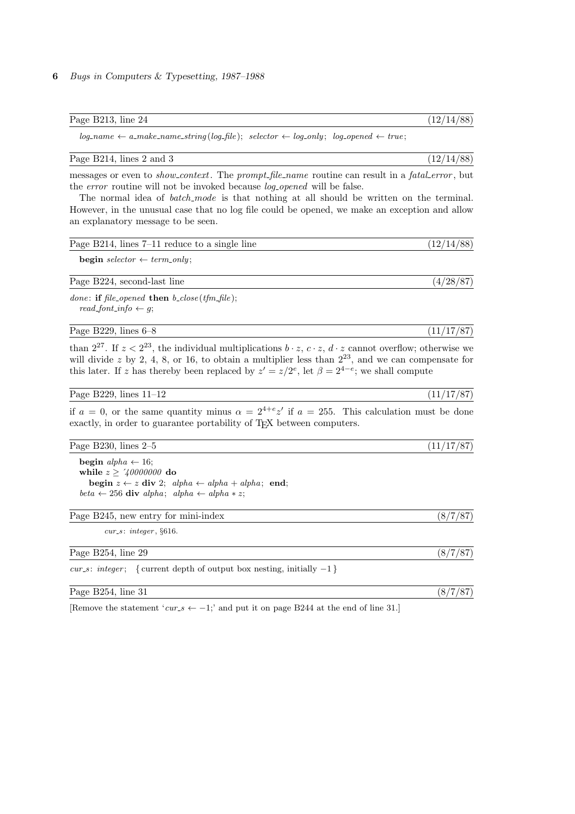| Page B213, line 24 | (19/14/00) |  |
|--------------------|------------|--|

 $log_name \leftarrow a\_make\_name\_string(log\_file); \; selector \leftarrow log\_only; \; log\_opened \leftarrow true;$ 

### Page B214, lines 2 and 3 (12/14/88)

messages or even to *show\_context*. The prompt\_file\_name routine can result in a fatal\_error, but the *error* routine will not be invoked because *log\_opened* will be false.

The normal idea of *batch\_mode* is that nothing at all should be written on the terminal. However, in the unusual case that no log file could be opened, we make an exception and allow an explanatory message to be seen.

| Page B214, lines $7-11$ reduce to a single line                  | (12/14/88) |
|------------------------------------------------------------------|------------|
| <b>begin</b> selector $\leftarrow$ term_only;                    |            |
| Page B224, second-last line                                      | (4/28/87)  |
| <i>done:</i> if file_opened then $b\_close$ ( <i>tfm_file</i> ); |            |

 $read\_font\_info \leftarrow g;$ 

Page B229, lines 6–8 (11/17/87)

than  $2^{27}$ . If  $z < 2^{23}$ , the individual multiplications  $b \cdot z$ ,  $c \cdot z$ ,  $d \cdot z$  cannot overflow; otherwise we will divide z by 2, 4, 8, or 16, to obtain a multiplier less than  $2^{23}$ , and we can compensate for this later. If z has thereby been replaced by  $z' = z/2^e$ , let  $\beta = 2^{4-e}$ ; we shall compute

Page B229, lines  $11-12$  (11/17/87)

if  $a = 0$ , or the same quantity minus  $\alpha = 2^{4+e}z'$  if  $a = 255$ . This calculation must be done exactly, in order to guarantee portability of T<sub>E</sub>X between computers.

## Page B230, lines 2–5 (11/17/87)

begin alpha  $\leftarrow$  16; while  $z \geq 740000000$  do begin  $z \leftarrow z$  div 2; alpha  $\leftarrow$  alpha + alpha; end; beta ← 256 div alpha; alpha ← alpha \* z;

## Page B245, new entry for mini-index (8/7/87)

 $cur\_s:$  integer,  $§616$ .

| Page B254.<br>29<br>line<br>----<br>$\sim$ $\sim$ |  |
|---------------------------------------------------|--|
|                                                   |  |

cur s: integer; { current depth of output box nesting, initially  $-1$ }

Page B254, line 31 (8/7/87)

[Remove the statement 'cur\_s  $\leftarrow -1$ ;' and put it on page B244 at the end of line 31.]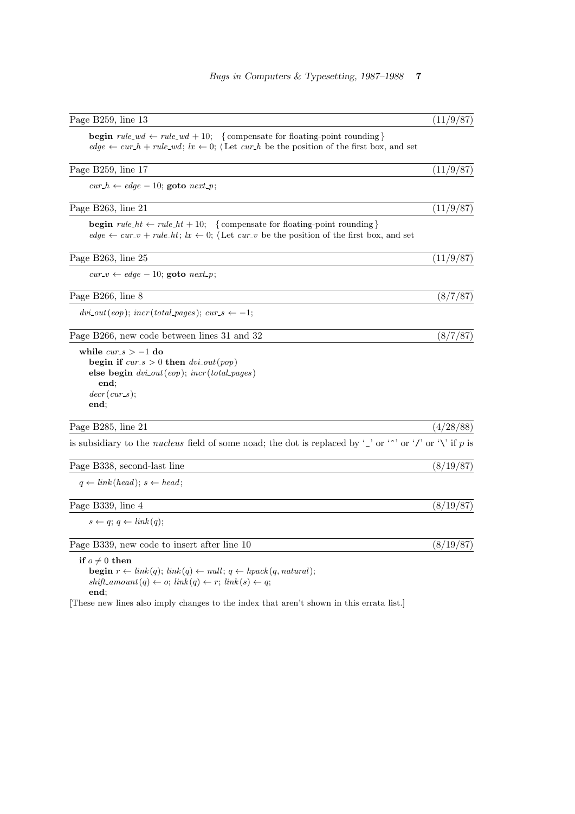| Page B259, line 13                                                                                                                                                                                                                       | (11/9/87) |
|------------------------------------------------------------------------------------------------------------------------------------------------------------------------------------------------------------------------------------------|-----------|
| <b>begin</b> $rule\_wd \leftarrow rule\_wd + 10;$ {compensate for floating-point rounding}<br>$edge \leftarrow cur_h + rule\_wd; \; lx \leftarrow 0;$ (Let $cur_h$ be the position of the first box, and set                             |           |
| Page B259, line 17                                                                                                                                                                                                                       | (11/9/87) |
| $cur_h \leftarrow edge - 10$ ; goto $next_p$ ;                                                                                                                                                                                           |           |
| Page B263, line 21                                                                                                                                                                                                                       | (11/9/87) |
| <b>begin</b> $rule\_ht \leftarrow rule\_ht + 10;$ {compensate for floating-point rounding}<br>$edge \leftarrow cur_{\mathcal{L}} + rule\_{ht}; \, lx \leftarrow 0;$ (Let $cur_{\mathcal{L}} v$ be the position of the first box, and set |           |
| Page B263, line 25                                                                                                                                                                                                                       | (11/9/87) |
| $cur_v \leftarrow edge - 10$ ; goto $next_p$ ;                                                                                                                                                                                           |           |
| Page B266, line 8                                                                                                                                                                                                                        | (8/7/87)  |
| $dvi_{}out(eop);$ incr(total_pages); cur_s $\leftarrow -1;$                                                                                                                                                                              |           |
| Page B266, new code between lines 31 and 32                                                                                                                                                                                              | (8/7/87)  |
| while $cur_s > -1$ do<br>begin if $cur_s > 0$ then $dvi\_out(pop)$<br>else begin $\text{div}\text{-}\text{out}(\text{eop})$ ; $\text{incr}(\text{total}\text{-}\text{pages})$<br>end;<br>$decr(cur_s);$<br>end;                          |           |
| Page B285, line 21                                                                                                                                                                                                                       | (4/28/88) |
| is subsidiary to the <i>nucleus</i> field of some noad; the dot is replaced by '_' or ''' or ''' or '\' if p is                                                                                                                          |           |
| Page B338, second-last line                                                                                                                                                                                                              | (8/19/87) |
| $q \leftarrow link(head); s \leftarrow head;$                                                                                                                                                                                            |           |
| Page B339, line 4                                                                                                                                                                                                                        | (8/19/87) |
| $s \leftarrow q$ ; $q \leftarrow link(q)$ ;                                                                                                                                                                                              |           |
| Page B339, new code to insert after line 10                                                                                                                                                                                              | (8/19/87) |
| if $o \neq 0$ then<br><b>begin</b> $r \leftarrow link(q)$ ; $link(q) \leftarrow null$ ; $q \leftarrow hpack(q, natural)$ ;                                                                                                               |           |

 $shift\_amount(q) \leftarrow o; link(q) \leftarrow r; link(s) \leftarrow q;$ 

end;

[These new lines also imply changes to the index that aren't shown in this errata list.]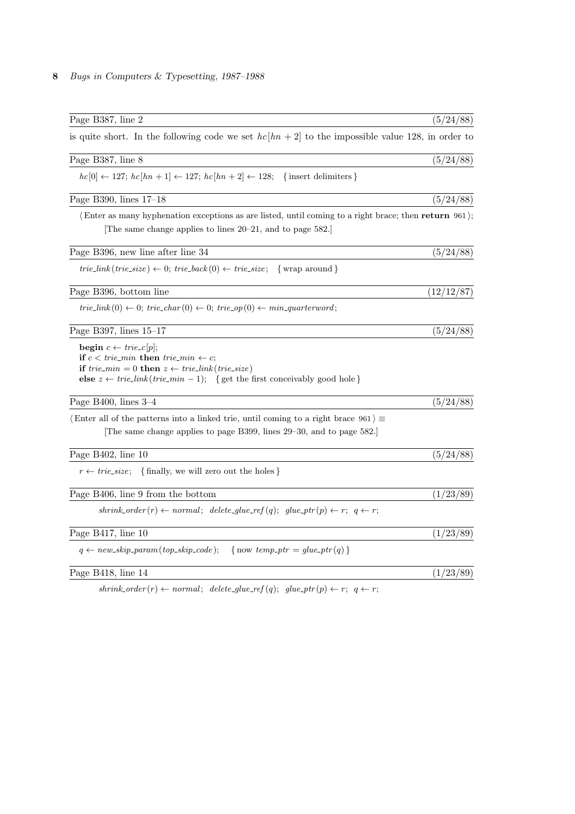| Page B387, line 2                                                                                                                                                                                                                                                                                    | (5/24/88)  |
|------------------------------------------------------------------------------------------------------------------------------------------------------------------------------------------------------------------------------------------------------------------------------------------------------|------------|
| is quite short. In the following code we set $hc[hn + 2]$ to the impossible value 128, in order to                                                                                                                                                                                                   |            |
| Page B387, line 8                                                                                                                                                                                                                                                                                    | (5/24/88)  |
| $hc[0] \leftarrow 127$ ; $hc[hn + 1] \leftarrow 127$ ; $hc[hn + 2] \leftarrow 128$ ; {insert delimiters }                                                                                                                                                                                            |            |
| Page B390, lines 17-18                                                                                                                                                                                                                                                                               | (5/24/88)  |
| (Enter as many hyphenation exceptions as are listed, until coming to a right brace; then return 961);<br>The same change applies to lines 20–21, and to page 582.                                                                                                                                    |            |
| Page B396, new line after line 34                                                                                                                                                                                                                                                                    | (5/24/88)  |
| <i>trie_link</i> ( <i>trie_size</i> ) $\leftarrow$ 0; <i>trie_back</i> (0) $\leftarrow$ <i>trie_size</i> ; { wrap around }                                                                                                                                                                           |            |
| Page B396, bottom line                                                                                                                                                                                                                                                                               | (12/12/87) |
| $trie\_link(0) \leftarrow 0; \text{ trie\_char}(0) \leftarrow 0; \text{ trie\_op}(0) \leftarrow min\_quarterword;$                                                                                                                                                                                   |            |
| Page B397, lines $15-17$                                                                                                                                                                                                                                                                             | (5/24/88)  |
| begin $c \leftarrow \mathit{trie\_c}   p  ;$<br>if $c < trie\_min$ then $trie\_min \leftarrow c$ ;<br><b>if</b> trie_min = 0 <b>then</b> $z \leftarrow \text{trie\_link}(\text{trie\_size})$<br>else $z \leftarrow \text{trie\_link}(\text{trie\_min} - 1);$ { get the first conceivably good hole } |            |
| Page B400, lines $3-4$                                                                                                                                                                                                                                                                               | (5/24/88)  |
| (Enter all of the patterns into a linked trie, until coming to a right brace $961$ )<br>The same change applies to page B399, lines 29–30, and to page 582.                                                                                                                                          |            |
| Page B402, line $10$                                                                                                                                                                                                                                                                                 | (5/24/88)  |
| $r \leftarrow trie\_size;$ {finally, we will zero out the holes}                                                                                                                                                                                                                                     |            |
| Page B406, line 9 from the bottom                                                                                                                                                                                                                                                                    | (1/23/89)  |
| $shrink\_\\norder(r) \leftarrow normal; \ delete\_\\nglue\_\nref(q); \ glue\_\nptr(p) \leftarrow r; \ q \leftarrow r;$                                                                                                                                                                               |            |
| Page B417, line 10                                                                                                                                                                                                                                                                                   | (1/23/89)  |
| $q \leftarrow new\_skip\_param(top\_skip\_code);$<br>{now temp-ptr = glue-ptr(q)}                                                                                                                                                                                                                    |            |
| Page B418, line 14                                                                                                                                                                                                                                                                                   | (1/23/89)  |
|                                                                                                                                                                                                                                                                                                      |            |

 $\mathit{shrink{\_}order}(r) \leftarrow \mathit{normal}; \; \; \mathit{delete\_glue\_ref}(q); \; \; \mathit{glue\_ptr}(p) \leftarrow r; \; \; q \leftarrow r;$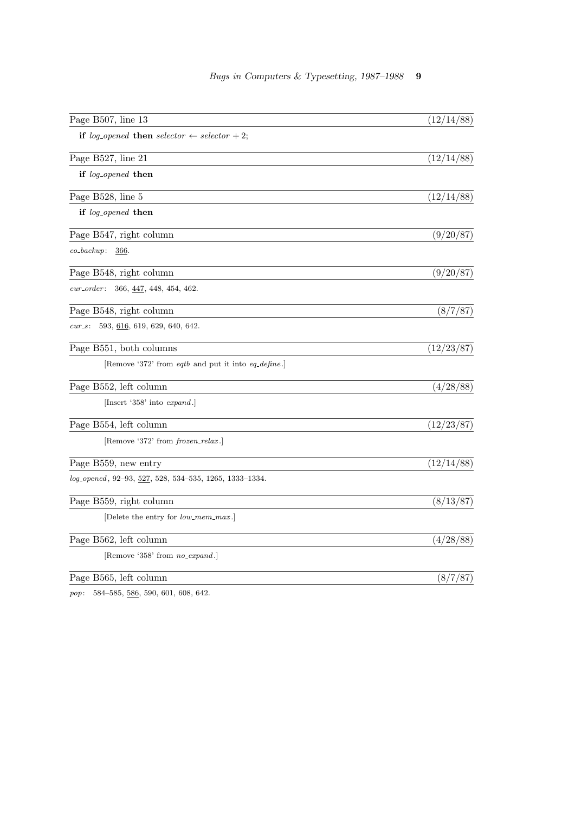| Page B507, line 13                                       | (12/14/88) |
|----------------------------------------------------------|------------|
| if log-opened then selector $\leftarrow$ selector + 2;   |            |
| Page B527, line 21                                       | (12/14/88) |
| if log <sub>-opened</sub> then                           |            |
| Page B528, line 5                                        | (12/14/88) |
| if log_opened then                                       |            |
| Page B547, right column                                  | (9/20/87)  |
| $co\_backup$ :<br>366.                                   |            |
| Page B548, right column                                  | (9/20/87)  |
| $cur\_order$ :<br>$366, \underline{447}, 448, 454, 462.$ |            |
| Page B548, right column                                  | (8/7/87)   |
| 593, 616, 619, 629, 640, 642.<br>$cur$ s:                |            |
| Page B551, both columns                                  | (12/23/87) |
| [Remove '372' from eqtb and put it into eq_define.]      |            |
| Page B552, left column                                   | (4/28/88)  |
| [Insert '358' into <i>expand</i> .]                      |            |
| Page B554, left column                                   | (12/23/87) |
| [Remove '372' from <i>frozen_relax</i> .]                |            |
| Page B559, new entry                                     | (12/14/88) |
| log_opened, 92-93, 527, 528, 534-535, 1265, 1333-1334.   |            |
| Page B559, right column                                  | (8/13/87)  |
| [Delete the entry for <i>low_mem_max</i> .]              |            |
| Page B562, left column                                   | (4/28/88)  |
| [Remove '358' from no_expand.]                           |            |
| Page B565, left column                                   | (8/7/87)   |
|                                                          |            |

 $\label{eq:3.1} pop \colon \quad 584\text{--}585, \, \underline{586}, \, 590, \, 601, \, 608, \, 642.$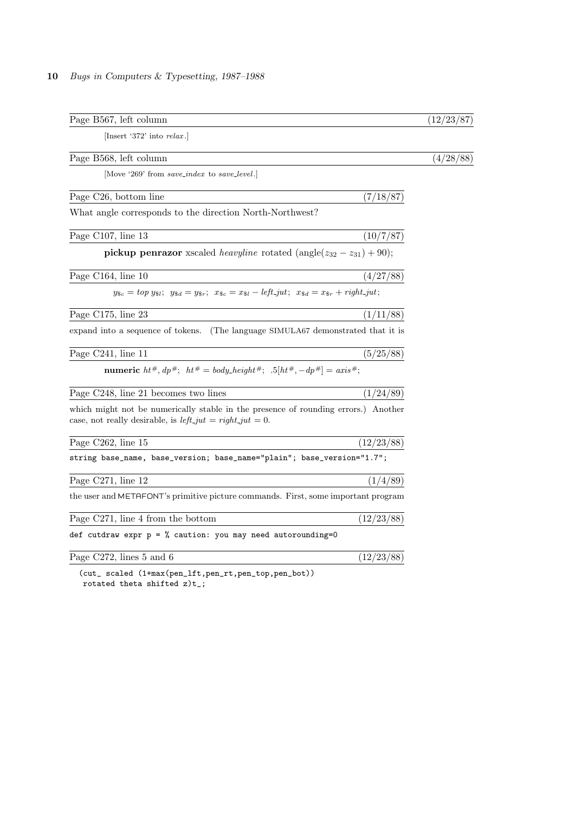| Page B567, left column                                                                                                                              | (12/23/87) |
|-----------------------------------------------------------------------------------------------------------------------------------------------------|------------|
| [Insert '372' into $relax$ .]                                                                                                                       |            |
| Page B568, left column                                                                                                                              | (4/28/88)  |
| Move '269' from save_index to save_level.                                                                                                           |            |
| Page C <sub>26</sub> , bottom line<br>(7/18/87)                                                                                                     |            |
| What angle corresponds to the direction North-Northwest?                                                                                            |            |
| Page C107, line 13<br>(10/7/87)                                                                                                                     |            |
| <b>pickup penrazor</b> xscaled <i>heavyline</i> rotated (angle( $z_{32} - z_{31}$ ) + 90);                                                          |            |
| Page C164, line 10<br>(4/27/88)                                                                                                                     |            |
| $y_{\$c} = top y_{\$i}; y_{\$d} = y_{\$r}; x_{\$c} = x_{\$l} - left\_jut; x_{\$d} = x_{\$r} + right\_jut;$                                          |            |
| Page C175, line 23<br>(1/11/88)                                                                                                                     |            |
| expand into a sequence of tokens. (The language SIMULA67 demonstrated that it is                                                                    |            |
| Page C241, line 11<br>(5/25/88)                                                                                                                     |            |
| <b>numeric</b> $ht^{\#}, dp^{\#}$ ; $ht^{\#} = body\_height^{\#}$ ; $.5[ht^{\#}, -dp^{\#}] = axis^{\#}$ ;                                           |            |
| Page C248, line 21 becomes two lines<br>(1/24/89)                                                                                                   |            |
| which might not be numerically stable in the presence of rounding errors.) Another<br>case, not really desirable, is $left\_jut = right\_jut = 0$ . |            |
| Page C262, line 15<br>(12/23/88)                                                                                                                    |            |
| string base_name, base_version; base_name="plain"; base_version="1.7";                                                                              |            |
| Page C271, line 12<br>(1/4/89)                                                                                                                      |            |
| the user and METAFONT's primitive picture commands. First, some important program                                                                   |            |
| (12/23/88)<br>Page C271, line 4 from the bottom                                                                                                     |            |
| def cutdraw expr $p = %$ caution: you may need autorounding=0                                                                                       |            |
| Page C272, lines $5$ and $6$<br>(12/23/88)                                                                                                          |            |
| (cut_ scaled (1+max(pen_lft,pen_rt,pen_top,pen_bot))                                                                                                |            |

rotated theta shifted z)t\_;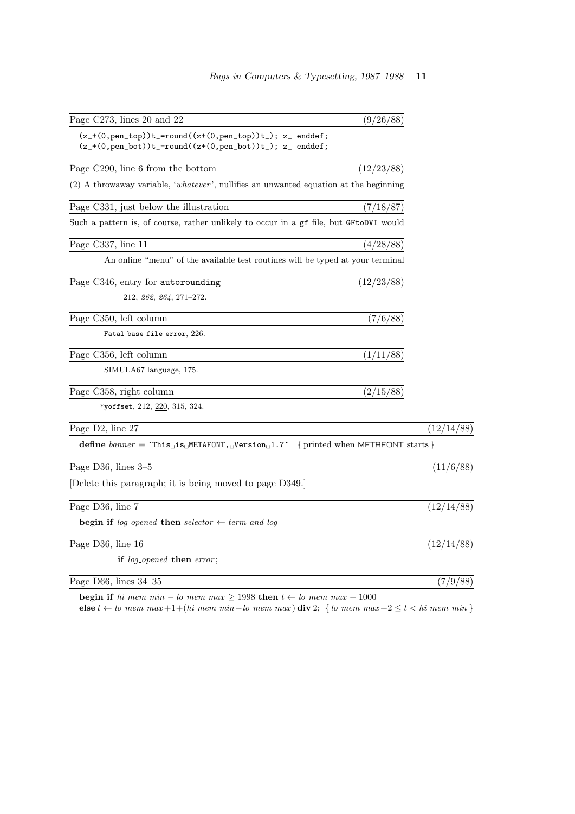| Page C273, lines 20 and 22                                                                                              | (9/26/88)  |            |
|-------------------------------------------------------------------------------------------------------------------------|------------|------------|
| $(z_+(0,pen\_top))t_=round((z+(0,pen\_top))t_); z_$ enddef;<br>$(z_+(0,pen_bot))t_=round((z+(0,pen_bot))t_); z_enddef;$ |            |            |
| Page C290, line 6 from the bottom                                                                                       | (12/23/88) |            |
| $(2)$ A throwaway variable, 'whatever', nullifies an unwanted equation at the beginning                                 |            |            |
| Page C331, just below the illustration                                                                                  | (7/18/87)  |            |
| Such a pattern is, of course, rather unlikely to occur in a gf file, but GFtoDVI would                                  |            |            |
| Page C337, line 11                                                                                                      | (4/28/88)  |            |
| An online "menu" of the available test routines will be typed at your terminal                                          |            |            |
| Page C346, entry for autorounding                                                                                       | (12/23/88) |            |
| $212, 262, 264, 271-272.$                                                                                               |            |            |
| Page C350, left column                                                                                                  | (7/6/88)   |            |
| Fatal base file error, 226.                                                                                             |            |            |
| Page C356, left column                                                                                                  | (1/11/88)  |            |
| SIMULA67 language, 175.                                                                                                 |            |            |
| Page C358, right column                                                                                                 | (2/15/88)  |            |
| *yoffset, 212, 220, 315, 324.                                                                                           |            |            |
| Page D2, line 27                                                                                                        |            | (12/14/88) |
| <b>define</b> banner $\equiv$ This <sub>u</sub> is METAFONT, Version 1.7 {printed when METAFONT starts }                |            |            |
| Page D36, lines 3-5                                                                                                     |            | (11/6/88)  |
| Delete this paragraph; it is being moved to page D349.                                                                  |            |            |
| Page D36, line 7                                                                                                        |            | (12/14/88) |
| begin if log <sub>-opened</sub> then selector $\leftarrow$ term_and_log                                                 |            |            |
| Page D36, line 16                                                                                                       |            | (12/14/88) |
| if log_opened then error;                                                                                               |            |            |
| Page D66, lines $34-35$                                                                                                 |            | (7/9/88)   |

begin if  $hi\_mem\_min - lo\_mem\_max \ge 1998$  then  $t \leftarrow lo\_mem\_max + 1000$ else  $t ← lo_mean_max +1+(hi_mean.min-lo_mean.max)$  div 2; { $lo_mean.max +2 ≤ t < hi_mean.min$ }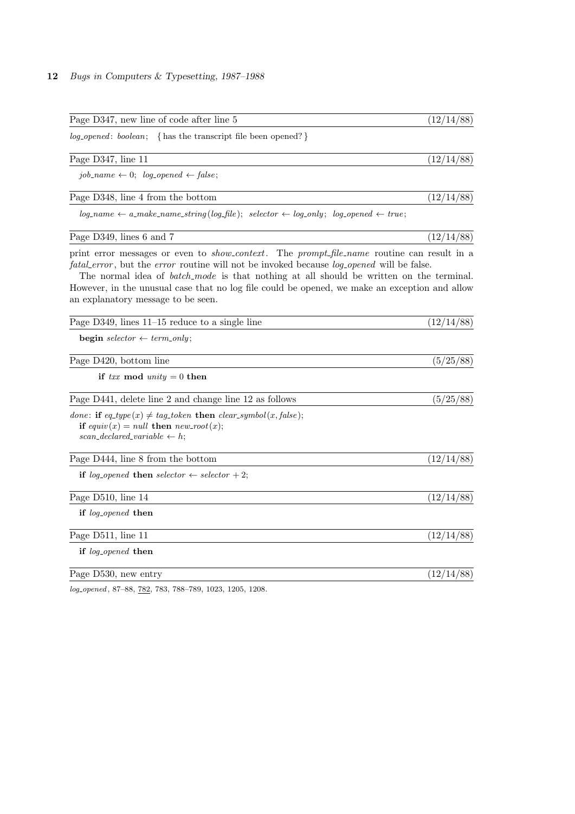| Page D347, new line of code after line 5                                                                                                                                                                                                                                                                                                                                                                                                                      | (12/14/88) |
|---------------------------------------------------------------------------------------------------------------------------------------------------------------------------------------------------------------------------------------------------------------------------------------------------------------------------------------------------------------------------------------------------------------------------------------------------------------|------------|
| log_opened: boolean; { has the transcript file been opened? }                                                                                                                                                                                                                                                                                                                                                                                                 |            |
| Page D347, line 11                                                                                                                                                                                                                                                                                                                                                                                                                                            | (12/14/88) |
| job_name $\leftarrow 0$ ; log_opened $\leftarrow$ false;                                                                                                                                                                                                                                                                                                                                                                                                      |            |
| Page D348, line 4 from the bottom                                                                                                                                                                                                                                                                                                                                                                                                                             | (12/14/88) |
| $log_name \leftarrow a\_make_name\_string(log_file); \; selector \leftarrow log_only; \; log_opened \leftarrow true;$                                                                                                                                                                                                                                                                                                                                         |            |
| Page D349, lines 6 and 7                                                                                                                                                                                                                                                                                                                                                                                                                                      | (12/14/88) |
| print error messages or even to <i>show_context</i> . The prompt_file_name routine can result in a<br><i>fatal_error</i> , but the <i>error</i> routine will not be invoked because <i>log_opened</i> will be false.<br>The normal idea of <i>batch_mode</i> is that nothing at all should be written on the terminal.<br>However, in the unusual case that no log file could be opened, we make an exception and allow<br>an explanatory message to be seen. |            |
| Page $D349$ , lines $11-15$ reduce to a single line                                                                                                                                                                                                                                                                                                                                                                                                           | (12/14/88) |
| <b>begin</b> selector $\leftarrow$ term_only;                                                                                                                                                                                                                                                                                                                                                                                                                 |            |
| Page D420, bottom line                                                                                                                                                                                                                                                                                                                                                                                                                                        | (5/25/88)  |
| if txx mod unity = 0 then                                                                                                                                                                                                                                                                                                                                                                                                                                     |            |
| Page D441, delete line 2 and change line 12 as follows                                                                                                                                                                                                                                                                                                                                                                                                        | (5/25/88)  |
| done: if $eq_type(x) \neq tag\_token$ then $clear\_symbol(x, false)$ ;<br>if equiv(x) = null then new_root(x);<br>scan_declared_variable $\leftarrow h$ ;                                                                                                                                                                                                                                                                                                     |            |
| Page D444, line 8 from the bottom                                                                                                                                                                                                                                                                                                                                                                                                                             | (12/14/88) |
| if log <sub>-opened</sub> then selector $\leftarrow$ selector + 2;                                                                                                                                                                                                                                                                                                                                                                                            |            |
| Page D510, line 14                                                                                                                                                                                                                                                                                                                                                                                                                                            | (12/14/88) |
| if log <sub>-opened</sub> then                                                                                                                                                                                                                                                                                                                                                                                                                                |            |
| Page D511, line 11                                                                                                                                                                                                                                                                                                                                                                                                                                            | (12/14/88) |
| if log <sub>-opened</sub> then                                                                                                                                                                                                                                                                                                                                                                                                                                |            |
| Page D530, new entry                                                                                                                                                                                                                                                                                                                                                                                                                                          | (12/14/88) |

log opened , 87–88, 782, 783, 788–789, 1023, 1205, 1208.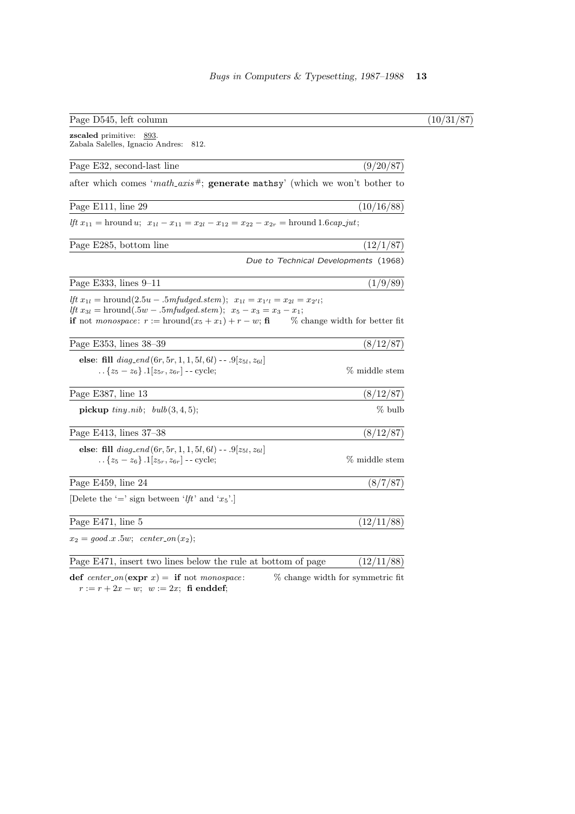| Page D545, left column                                                                                                                                                                                                                                                                           |                                      |
|--------------------------------------------------------------------------------------------------------------------------------------------------------------------------------------------------------------------------------------------------------------------------------------------------|--------------------------------------|
| <b>zscaled</b> primitive:<br>893.<br>Zabala Salelles, Ignacio Andres:<br>812.                                                                                                                                                                                                                    |                                      |
| Page E32, second-last line                                                                                                                                                                                                                                                                       | (9/20/87)                            |
| after which comes 'math_axis#; generate mathsy' (which we won't bother to                                                                                                                                                                                                                        |                                      |
| Page E111, line 29                                                                                                                                                                                                                                                                               | (10/16/88)                           |
| <i>lft</i> $x_{11}$ = hround <i>u</i> ; $x_{1l} - x_{11} = x_{2l} - x_{12} = x_{22} - x_{2r}$ = hround 1.6 <i>cap_jut</i> ;                                                                                                                                                                      |                                      |
| Page E285, bottom line                                                                                                                                                                                                                                                                           | (12/1/87)                            |
|                                                                                                                                                                                                                                                                                                  | Due to Technical Developments (1968) |
| Page E333, lines $9-11$                                                                                                                                                                                                                                                                          | (1/9/89)                             |
| Ift $x_{1l}$ = hround(2.5 <i>u</i> - .5 <i>mfudged.stem</i> ); $x_{1l} = x_{1'l} = x_{2l} = x_{2'l}$ ;<br><i>lft</i> $x_{3l}$ = hround(.5 <i>w</i> - .5 <i>mfudged.stem</i> ); $x_5 - x_3 = x_3 - x_1$ ;<br><b>if</b> not <i>monospace</i> : $r := \text{hround}(x_5 + x_1) + r - w$ ; <b>fi</b> | % change width for better fit        |
| Page E353, lines 38-39                                                                                                                                                                                                                                                                           | (8/12/87)                            |
| else: fill $diag\_end(6r, 5r, 1, 1, 5l, 6l)$ -- .9[ $z_{5l}, z_{6l}$ ]<br>$\{z_5 - z_6\}$ . $1[z_{5r}, z_{6r}]$ -- cycle;                                                                                                                                                                        | % middle stem                        |
| Page E387, line 13                                                                                                                                                                                                                                                                               | (8/12/87)                            |
| <b>pickup</b> $tiny.nib$ ; $bulb(3,4,5)$ ;                                                                                                                                                                                                                                                       | % bulb                               |
| Page E413, lines 37-38                                                                                                                                                                                                                                                                           | (8/12/87)                            |
| else: fill $diag\_end(6r, 5r, 1, 1, 5l, 6l)$ -- .9 $[z_{5l}, z_{6l}]$<br>{ $z_5 - z_6$ } .1[ $z_{5r}, z_{6r}$ ] -- cycle;                                                                                                                                                                        | % middle stem                        |
| Page E459, line 24                                                                                                                                                                                                                                                                               | (8/7/87)                             |
| Delete the '=' sign between ' <i>lft</i> ' and ' $x_5$ '.                                                                                                                                                                                                                                        |                                      |
| Page E471, line 5                                                                                                                                                                                                                                                                                | (12/11/88)                           |
| $x_2 = good.x.5w; center\_on(x_2);$                                                                                                                                                                                                                                                              |                                      |
| Page E471, insert two lines below the rule at bottom of page                                                                                                                                                                                                                                     | (12/11/88)                           |
| def center_on(expr x) = if not monospace:<br>$r := r + 2x - w$ ; $w := 2x$ ; fi enddef;                                                                                                                                                                                                          | % change width for symmetric fit.    |

 $\overline{(10/31/87)}$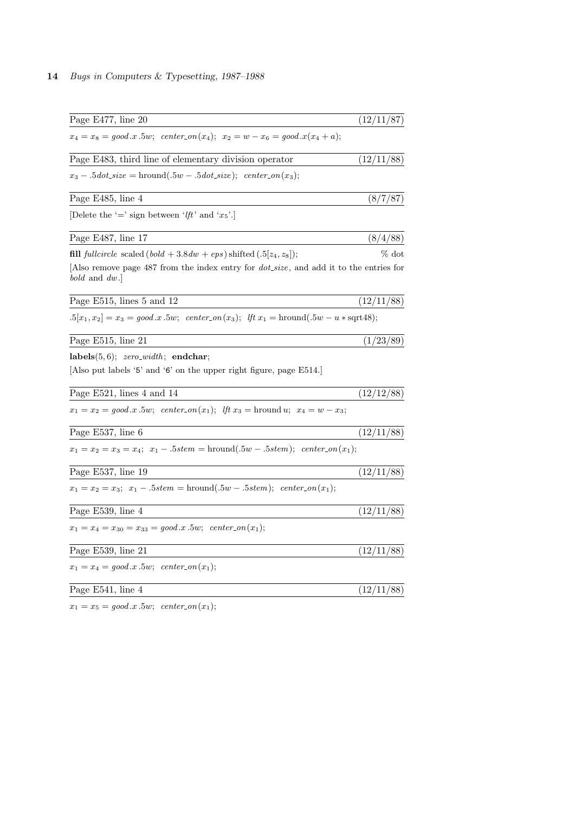| Page E477, line 20                                                                                                   | (12/11/87) |
|----------------------------------------------------------------------------------------------------------------------|------------|
| $x_4 = x_8 = good.x.5w;$ center-on(x <sub>4</sub> ); $x_2 = w - x_6 = good.x(x_4 + a);$                              |            |
| Page E483, third line of elementary division operator                                                                | (12/11/88) |
| $x_3-.5dot\_size =$ hround $(.5w-.5dot\_size);$ center_on(x <sub>3</sub> );                                          |            |
| Page E485, line 4                                                                                                    | (8/7/87)   |
| [Delete the '=' sign between ' <i>lft</i> ' and ' $x_5$ '.]                                                          |            |
| Page E487, line 17                                                                                                   | (8/4/88)   |
| <b>fill</b> fullcircle scaled $(bold + 3.8dw +eps)$ shifted $(.5 z_4, z_8 )$ ;                                       | $\%$ dot   |
| Also remove page 487 from the index entry for <i>dot_size</i> , and add it to the entries for<br><i>bold</i> and dw. |            |
| Page E515, lines 5 and 12                                                                                            | (12/11/88) |
| $.5[x_1, x_2] = x_3 = good.x.5w;$ center_on(x <sub>3</sub> ); <i>lft</i> $x_1 =$ hround(.5w - u * sqrt48);           |            |
| Page E515, line 21                                                                                                   | (1/23/89)  |
| $labels(5,6);$ zero_width; endchar;                                                                                  |            |
| Also put labels '5' and '6' on the upper right figure, page E514.                                                    |            |
| Page $E521$ , lines 4 and 14                                                                                         | (12/12/88) |
| $x_1 = x_2 = good.x.5w;$ center_on(x <sub>1</sub> ); Ift $x_3 =$ hround u; $x_4 = w - x_3;$                          |            |
| Page E537, line 6                                                                                                    | (12/11/88) |
| $x_1 = x_2 = x_3 = x_4$ ; $x_1 - .5$ stem = hround(.5w - .5stem); center-on(x <sub>1</sub> );                        |            |
| Page E537, line 19                                                                                                   | (12/11/88) |
| $x_1 = x_2 = x_3$ ; $x_1 - .5$ stem = hround(.5w - .5stem); center_on(x <sub>1</sub> );                              |            |
| Page E539, line 4                                                                                                    | (12/11/88) |
| $x_1 = x_4 = x_{30} = x_{33} = good.x.5w; \text{ center\_on}(x_1);$                                                  |            |
| Page E539, line 21                                                                                                   | (12/11/88) |
| $x_1 = x_4 = good.x.5w; \text{ center\_on}(x_1);$                                                                    |            |
| Page E541, line 4                                                                                                    | (12/11/88) |
| $x_1 = x_5 = good.x.5w; \ \ center\_on(x_1);$                                                                        |            |